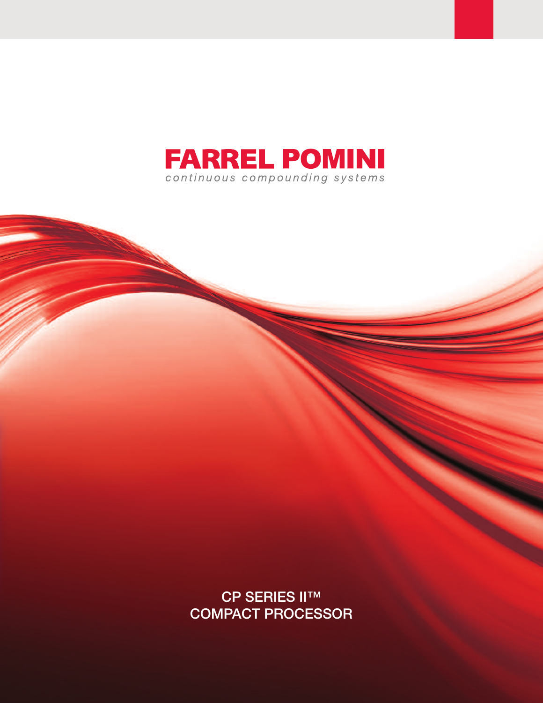

CP SERIES II™ COMPACT PROCESSOR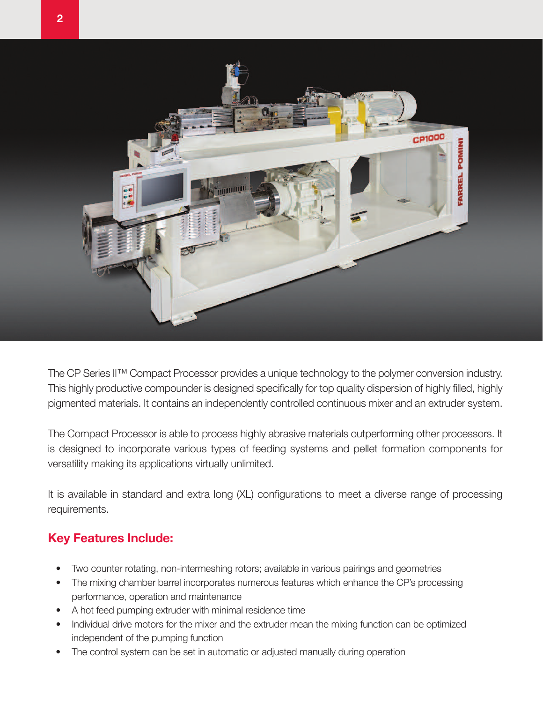

The CP Series II™ Compact Processor provides a unique technology to the polymer conversion industry. This highly productive compounder is designed specifically for top quality dispersion of highly filled, highly pigmented materials. It contains an independently controlled continuous mixer and an extruder system.

The Compact Processor is able to process highly abrasive materials outperforming other processors. It is designed to incorporate various types of feeding systems and pellet formation components for versatility making its applications virtually unlimited.

It is available in standard and extra long (XL) configurations to meet a diverse range of processing requirements.

## **Key Features Include:**

- Two counter rotating, non-intermeshing rotors; available in various pairings and geometries
- The mixing chamber barrel incorporates numerous features which enhance the CP's processing performance, operation and maintenance
- A hot feed pumping extruder with minimal residence time
- Individual drive motors for the mixer and the extruder mean the mixing function can be optimized independent of the pumping function
- The control system can be set in automatic or adjusted manually during operation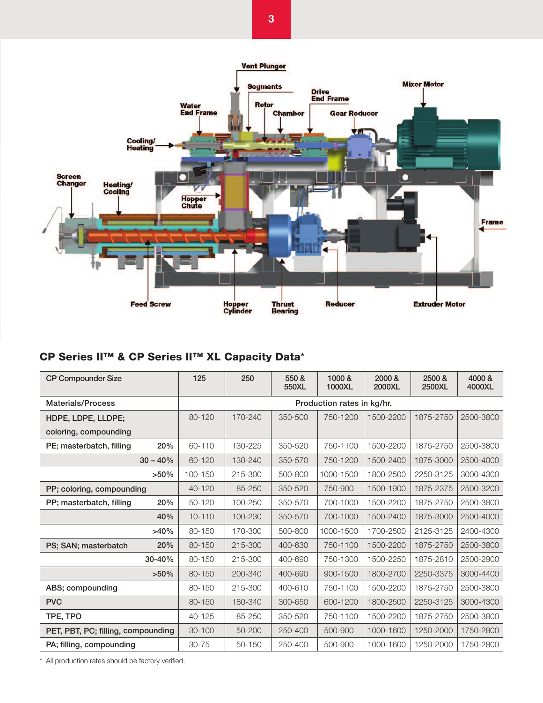

## **CP Series II™ & CP Series II™ XL Capacity Data**\*

| <b>CP Compounder Size</b>          |            | 125                        | 250     | 550 &<br>550XL | 1000 &<br>1000XL | 2000 &<br>2000XL | 2500 &<br>2500XL | 4000 &<br>4000XL |
|------------------------------------|------------|----------------------------|---------|----------------|------------------|------------------|------------------|------------------|
| <b>Materials/Process</b>           |            | Production rates in kg/hr. |         |                |                  |                  |                  |                  |
| HDPE, LDPE, LLDPE;                 |            | 80-120                     | 170-240 | 350-500        | 750-1200         | 1500-2200        | 1875-2750        | 2500-3800        |
| coloring, compounding              |            |                            |         |                |                  |                  |                  |                  |
| PE; masterbatch, filling           | 20%        | 60-110                     | 130-225 | 350-520        | 750-1100         | 1500-2200        | 1875-2750        | 2500-3800        |
|                                    | $30 - 40%$ | 60-120                     | 130-240 | 350-570        | 750-1200         | 1500-2400        | 1875-3000        | 2500-4000        |
|                                    | $>50\%$    | 100-150                    | 215-300 | 500-800        | 1000-1500        | 1800-2500        | 2250-3125        | 3000-4300        |
| PP; coloring, compounding          |            | 40-120                     | 85-250  | 350-520        | 750-900          | 1500-1900        | 1875-2375        | 2500-3200        |
| PP; masterbatch, filling           | 20%        | 50-120                     | 100-250 | 350-570        | 700-1000         | 1500-2200        | 1875-2750        | 2500-3800        |
|                                    | 40%        | $10 - 110$                 | 100-230 | 350-570        | 700-1000         | 1500-2400        | 1875-3000        | 2500-4000        |
|                                    | $>40\%$    | 80-150                     | 170-300 | 500-800        | 1000-1500        | 1700-2500        | 2125-3125        | 2400-4300        |
| PS; SAN; masterbatch               | 20%        | 80-150                     | 215-300 | 400-630        | 750-1100         | 1500-2200        | 1875-2750        | 2500-3800        |
|                                    | 30-40%     | 80-150                     | 215-300 | 400-690        | 750-1300         | 1500-2250        | 1875-2810        | 2500-2900        |
|                                    | $>50\%$    | 80-150                     | 200-340 | 400-690        | 900-1500         | 1800-2700        | 2250-3375        | 3000-4400        |
| ABS; compounding                   |            | 80-150                     | 215-300 | 400-610        | 750-1100         | 1500-2200        | 1875-2750        | 2500-3800        |
| <b>PVC</b>                         |            | 80-150                     | 180-340 | 300-650        | 600-1200         | 1800-2500        | 2250-3125        | 3000-4300        |
| TPE, TPO                           |            | 40-125                     | 85-250  | 350-520        | 750-1100         | 1500-2200        | 1875-2750        | 2500-3800        |
| PET, PBT, PC; filling, compounding |            | $30 - 100$                 | 50-200  | 250-400        | 500-900          | 1000-1600        | 1250-2000        | 1750-2800        |
| PA; filling, compounding           |            | 30-75                      | 50-150  | 250-400        | 500-900          | 1000-1600        | 1250-2000        | 1750-2800        |

\* All production rates should be factory verified.

**3**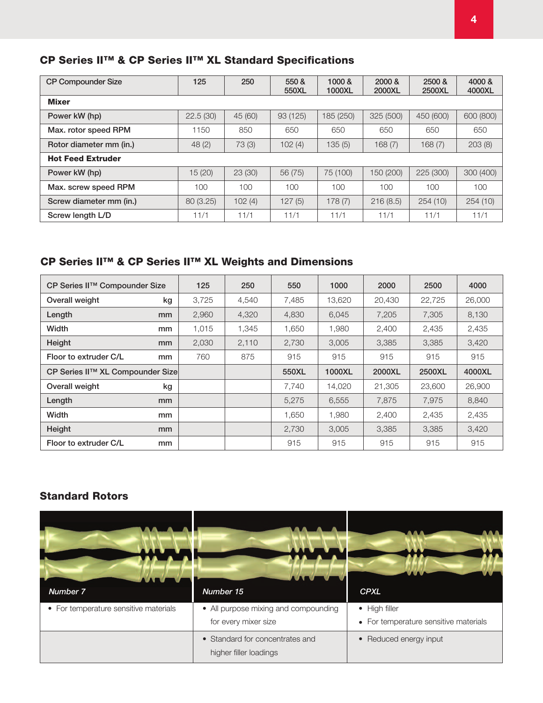## **CP Series II™ & CP Series II™ XL Standard Specifications**

| <b>CP Compounder Size</b> | 125       | 250     | 550 &<br>550XL | 1000 &<br>1000XL | 2000 &<br>2000XL | 2500 &<br>2500XL | 4000 &<br>4000XL |  |
|---------------------------|-----------|---------|----------------|------------------|------------------|------------------|------------------|--|
| <b>Mixer</b>              |           |         |                |                  |                  |                  |                  |  |
| Power kW (hp)             | 22.5(30)  | 45 (60) | 93 (125)       | 185 (250)        | 325 (500)        | 450 (600)        | 600 (800)        |  |
| Max. rotor speed RPM      | 1150      | 850     | 650            | 650              | 650              | 650              | 650              |  |
| Rotor diameter mm (in.)   | 48(2)     | 73 (3)  | 102(4)         | 135(5)           | 168(7)           | 168(7)           | 203(8)           |  |
| <b>Hot Feed Extruder</b>  |           |         |                |                  |                  |                  |                  |  |
| Power kW (hp)             | 15 (20)   | 23(30)  | 56 (75)        | 75 (100)         | 150 (200)        | 225 (300)        | 300 (400)        |  |
| Max. screw speed RPM      | 100       | 100     | $100 -$        | 100              | 100              | $100 -$          | 100              |  |
| Screw diameter mm (in.)   | 80 (3.25) | 102(4)  | 127(5)         | 178(7)           | 216(8.5)         | 254(10)          | 254(10)          |  |
| Screw length L/D          | 11/1      | 11/1    | 11/1           | 11/1             | 11/1             | 11/1             | 11/1             |  |

## **CP Series II™ & CP Series II™ XL Weights and Dimensions**

| CP Series II™ Compounder Size    | 125   | 250   | 550   | 1000   | 2000   | 2500   | 4000   |
|----------------------------------|-------|-------|-------|--------|--------|--------|--------|
| Overall weight<br>kg             | 3,725 | 4,540 | 7,485 | 13,620 | 20,430 | 22,725 | 26,000 |
| Length<br>mm                     | 2,960 | 4,320 | 4,830 | 6,045  | 7,205  | 7,305  | 8,130  |
| Width<br>mm                      | 1,015 | 1,345 | 1,650 | 1,980  | 2,400  | 2,435  | 2,435  |
| Height<br>mm                     | 2,030 | 2,110 | 2,730 | 3,005  | 3,385  | 3,385  | 3,420  |
| Floor to extruder C/L<br>mm      | 760   | 875   | 915   | 915    | 915    | 915    | 915    |
| CP Series II™ XL Compounder Size |       |       | 550XL | 1000XL | 2000XL | 2500XL | 4000XL |
| Overall weight<br>kg             |       |       | 7.740 | 14,020 | 21,305 | 23,600 | 26,900 |
| Length<br>mm                     |       |       | 5,275 | 6,555  | 7,875  | 7,975  | 8,840  |
| Width<br>mm                      |       |       | 1,650 | 1,980  | 2,400  | 2,435  | 2,435  |
| Height<br>mm                     |       |       | 2,730 | 3,005  | 3,385  | 3,385  | 3,420  |
| Floor to extruder C/L<br>mm      |       |       | 915   | 915    | 915    | 915    | 915    |

### **Standard Rotors**

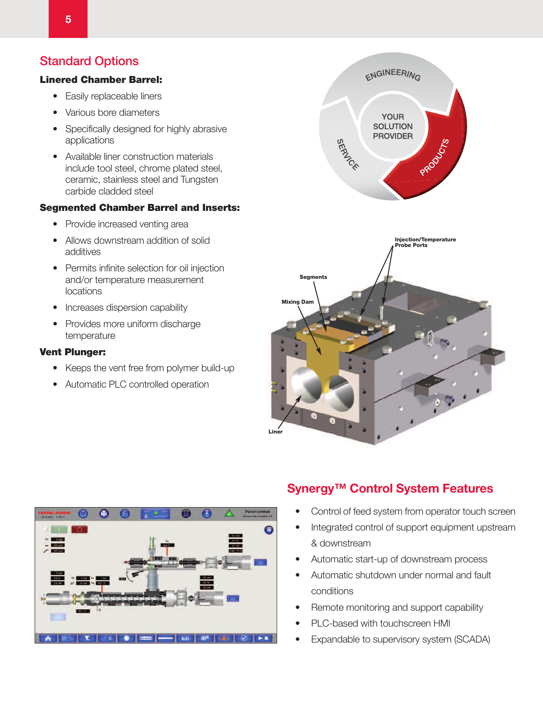## Standard Options

#### **Linered Chamber Barrel:**

- Easily replaceable liners
- Various bore diameters
- Specifically designed for highly abrasive applications
- Available liner construction materials include tool steel, chrome plated steel, ceramic, stainless steel and Tungsten carbide cladded steel

#### **Segmented Chamber Barrel and Inserts:**

- Provide increased venting area
- Allows downstream addition of solid additives
- Permits infinite selection for oil injection and/or temperature measurement locations
- Increases dispersion capability
- Provides more uniform discharge temperature

#### **Vent Plunger:**

- Keeps the vent free from polymer build-up
- Automatic PLC controlled operation







## **Synergy™ Control System Features**

- Control of feed system from operator touch screen
- Integrated control of support equipment upstream & downstream
- Automatic start-up of downstream process
- Automatic shutdown under normal and fault conditions
- Remote monitoring and support capability
- PLC-based with touchscreen HMI
- Expandable to supervisory system (SCADA)